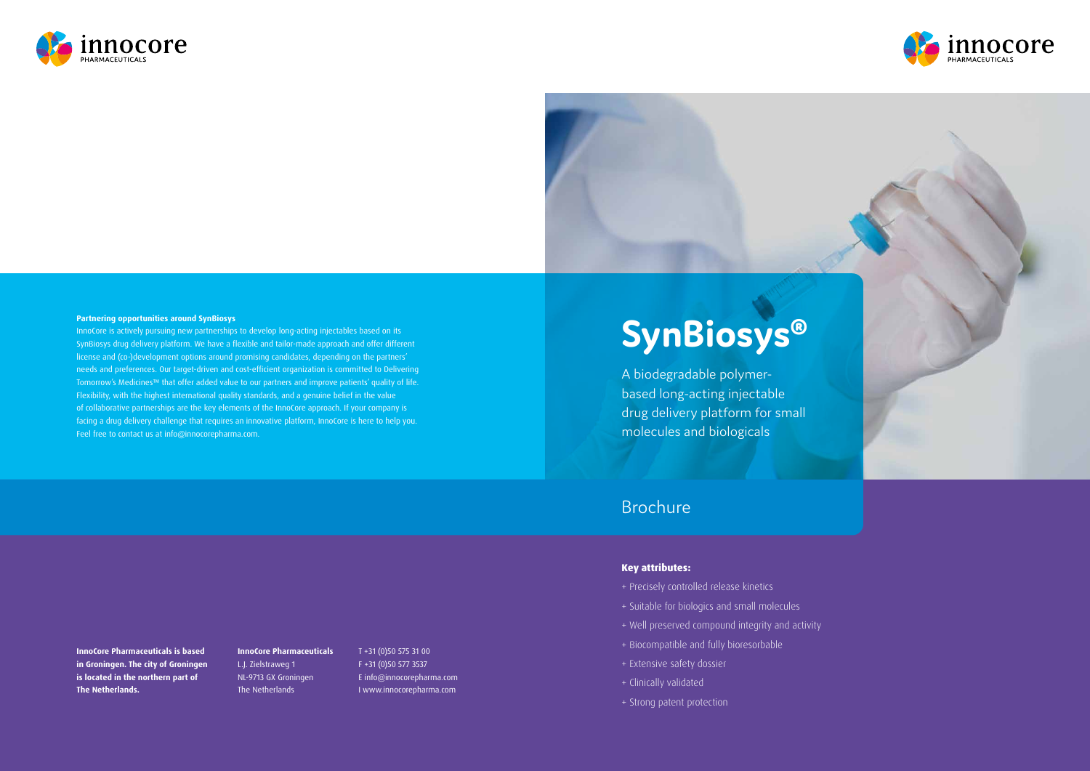## Brochure

# **SynBiosys®**

A biodegradable polymerbased long-acting injectable drug delivery platform for small molecules and biologicals

### **Key attributes:**

- + Precisely controlled release kinetics
- + Suitable for biologics and small molecules
- + Well preserved compound integrity and activity
- + Biocompatible and fully bioresorbable
- + Extensive safety dossier
- + Clinically validated
- + Strong patent protection

**InnoCore Pharmaceuticals is based in Groningen. The city of Groningen is located in the northern part of The Netherlands.**

**InnoCore Pharmaceuticals** L.J. Zielstraweg 1 NL-9713 GX Groningen The Netherlands

T +31 (0)50 575 31 00 F +31 (0)50 577 3537 E info@innocorepharma.com I www.innocorepharma.com







#### **Partnering opportunities around SynBiosys**

InnoCore is actively pursuing new partnerships to develop long-acting injectables based on its SynBiosys drug delivery platform. We have a flexible and tailor-made approach and offer different license and (co-)development options around promising candidates, depending on the partners' needs and preferences. Our target-driven and cost-efficient organization is committed to Delivering Tomorrow's Medicines™ that offer added value to our partners and improve patients' quality of life. Flexibility, with the highest international quality standards, and a genuine belief in the value of collaborative partnerships are the key elements of the InnoCore approach. If your company is facing a drug delivery challenge that requires an innovative platform, InnoCore is here to help you. Feel free to contact us at info@innocorepharma.com.